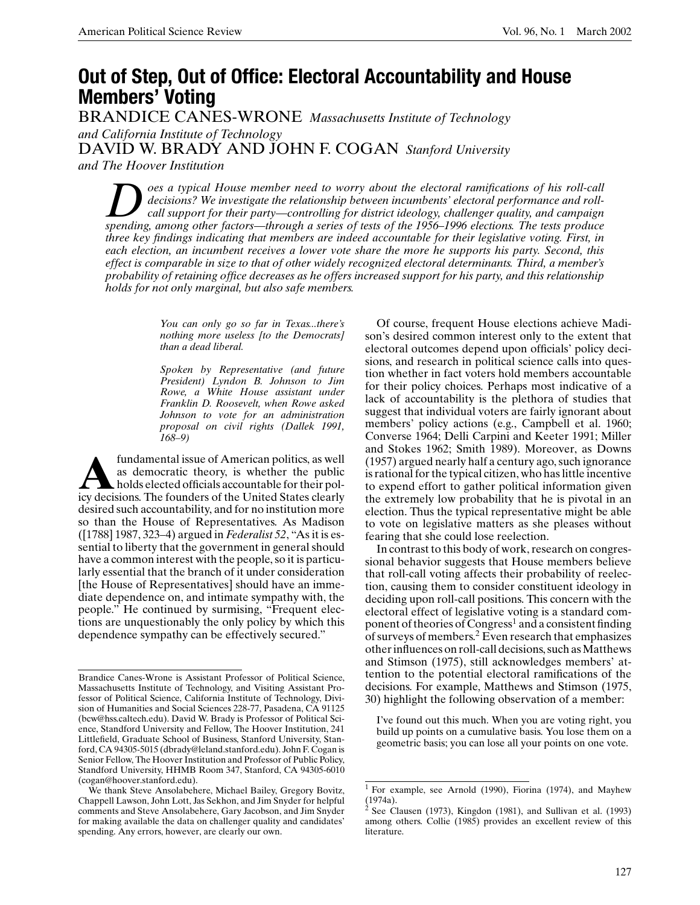# **Out of Step, Out of Office: Electoral Accountability and House Members' Voting**

BRANDICE CANES-WRONE *Massachusetts Institute of Technology and California Institute of Technology*

DAVID W. BRADY AND JOHN F. COGAN *Stanford University*

*and The Hoover Institution*

*Does a typical House member need to worry about the electoral ramifications of his roll-call*<br>call support for their party—controlling for district ideology, challenger quality, and campaign<br>spending, among other factors *decisions? We investigate the relationship between incumbents' electoral performance and rollcall support for their party—controlling for district ideology, challenger quality, and campaign spending, among other factors—through a series of tests of the 1956–1996 elections. The tests produce three key findings indicating that members are indeed accountable for their legislative voting. First, in each election, an incumbent receives a lower vote share the more he supports his party. Second, this effect is comparable in size to that of other widely recognized electoral determinants. Third, a member's probability of retaining office decreases as he offers increased support for his party, and this relationship holds for not only marginal, but also safe members.*

> *You can only go so far in Texas...there's nothing more useless [to the Democrats] than a dead liberal.*

> *Spoken by Representative (and future President) Lyndon B. Johnson to Jim Rowe, a White House assistant under Franklin D. Roosevelt, when Rowe asked Johnson to vote for an administration proposal on civil rights (Dallek 1991, 168–9)*

fundamental issue of American politics, as well<br>as democratic theory, is whether the public<br>holds elected officials accountable for their pol-<br>icy decisions. The founders of the United States clearly as democratic theory, is whether the public holds elected officials accountable for their policy decisions. The founders of the United States clearly desired such accountability, and for no institution more so than the House of Representatives. As Madison ([1788] 1987, 323–4) argued in *Federalist 52*, "As it is essential to liberty that the government in general should have a common interest with the people, so it is particularly essential that the branch of it under consideration [the House of Representatives] should have an immediate dependence on, and intimate sympathy with, the people." He continued by surmising, "Frequent elections are unquestionably the only policy by which this dependence sympathy can be effectively secured."

Of course, frequent House elections achieve Madison's desired common interest only to the extent that electoral outcomes depend upon officials' policy decisions, and research in political science calls into question whether in fact voters hold members accountable for their policy choices. Perhaps most indicative of a lack of accountability is the plethora of studies that suggest that individual voters are fairly ignorant about members' policy actions (e.g., Campbell et al. 1960; Converse 1964; Delli Carpini and Keeter 1991; Miller and Stokes 1962; Smith 1989). Moreover, as Downs (1957) argued nearly half a century ago, such ignorance is rational for the typical citizen, who has little incentive to expend effort to gather political information given the extremely low probability that he is pivotal in an election. Thus the typical representative might be able to vote on legislative matters as she pleases without fearing that she could lose reelection.

In contrast to this body of work, research on congressional behavior suggests that House members believe that roll-call voting affects their probability of reelection, causing them to consider constituent ideology in deciding upon roll-call positions. This concern with the electoral effect of legislative voting is a standard component of theories of  $Congress<sup>1</sup>$  and a consistent finding of surveys of members.2 Even research that emphasizes other influences on roll-call decisions, such as Matthews and Stimson (1975), still acknowledges members' attention to the potential electoral ramifications of the decisions. For example, Matthews and Stimson (1975, 30) highlight the following observation of a member:

I've found out this much. When you are voting right, you build up points on a cumulative basis. You lose them on a geometric basis; you can lose all your points on one vote.

Brandice Canes-Wrone is Assistant Professor of Political Science, Massachusetts Institute of Technology, and Visiting Assistant Professor of Political Science, California Institute of Technology, Division of Humanities and Social Sciences 228-77, Pasadena, CA 91125 (bcw@hss.caltech.edu). David W. Brady is Professor of Political Science, Standford University and Fellow, The Hoover Institution, 241 Littlefield, Graduate School of Business, Stanford University, Stanford, CA 94305-5015 (dbrady@leland.stanford.edu). John F. Cogan is Senior Fellow, The Hoover Institution and Professor of Public Policy, Standford University, HHMB Room 347, Stanford, CA 94305-6010 (cogan@hoover.stanford.edu).

We thank Steve Ansolabehere, Michael Bailey, Gregory Bovitz, Chappell Lawson, John Lott, Jas Sekhon, and Jim Snyder for helpful comments and Steve Ansolabehere, Gary Jacobson, and Jim Snyder for making available the data on challenger quality and candidates' spending. Any errors, however, are clearly our own.

<sup>1</sup> For example, see Arnold (1990), Fiorina (1974), and Mayhew (1974a).

<sup>&</sup>lt;sup>2</sup> See Clausen (1973), Kingdon (1981), and Sullivan et al. (1993) among others. Collie (1985) provides an excellent review of this literature.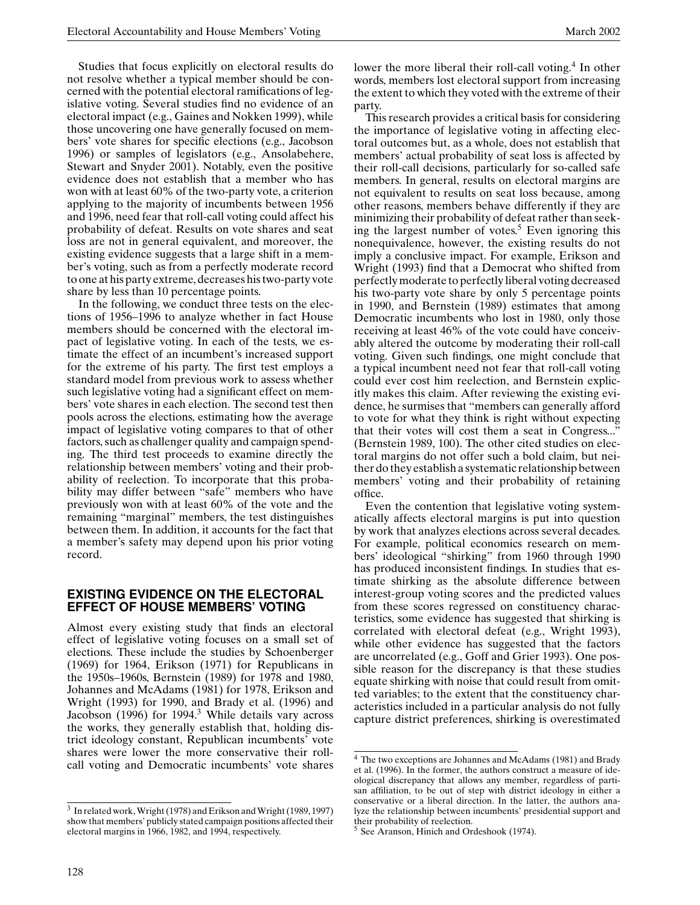Studies that focus explicitly on electoral results do not resolve whether a typical member should be concerned with the potential electoral ramifications of legislative voting. Several studies find no evidence of an electoral impact (e.g., Gaines and Nokken 1999), while those uncovering one have generally focused on members' vote shares for specific elections (e.g., Jacobson 1996) or samples of legislators (e.g., Ansolabehere, Stewart and Snyder 2001). Notably, even the positive evidence does not establish that a member who has won with at least 60% of the two-party vote, a criterion applying to the majority of incumbents between 1956 and 1996, need fear that roll-call voting could affect his probability of defeat. Results on vote shares and seat loss are not in general equivalent, and moreover, the existing evidence suggests that a large shift in a member's voting, such as from a perfectly moderate record to one at his party extreme, decreases his two-party vote share by less than 10 percentage points.

In the following, we conduct three tests on the elections of 1956–1996 to analyze whether in fact House members should be concerned with the electoral impact of legislative voting. In each of the tests, we estimate the effect of an incumbent's increased support for the extreme of his party. The first test employs a standard model from previous work to assess whether such legislative voting had a significant effect on members' vote shares in each election. The second test then pools across the elections, estimating how the average impact of legislative voting compares to that of other factors, such as challenger quality and campaign spending. The third test proceeds to examine directly the relationship between members' voting and their probability of reelection. To incorporate that this probability may differ between "safe" members who have previously won with at least 60% of the vote and the remaining "marginal" members, the test distinguishes between them. In addition, it accounts for the fact that a member's safety may depend upon his prior voting record.

#### **EXISTING EVIDENCE ON THE ELECTORAL EFFECT OF HOUSE MEMBERS' VOTING**

Almost every existing study that finds an electoral effect of legislative voting focuses on a small set of elections. These include the studies by Schoenberger (1969) for 1964, Erikson (1971) for Republicans in the 1950s–1960s, Bernstein (1989) for 1978 and 1980, Johannes and McAdams (1981) for 1978, Erikson and Wright (1993) for 1990, and Brady et al. (1996) and Jacobson (1996) for  $1994<sup>3</sup>$  While details vary across the works, they generally establish that, holding district ideology constant, Republican incumbents' vote shares were lower the more conservative their rollcall voting and Democratic incumbents' vote shares

lower the more liberal their roll-call voting.<sup>4</sup> In other words, members lost electoral support from increasing the extent to which they voted with the extreme of their party.

This research provides a critical basis for considering the importance of legislative voting in affecting electoral outcomes but, as a whole, does not establish that members' actual probability of seat loss is affected by their roll-call decisions, particularly for so-called safe members. In general, results on electoral margins are not equivalent to results on seat loss because, among other reasons, members behave differently if they are minimizing their probability of defeat rather than seeking the largest number of votes.<sup>5</sup> Even ignoring this nonequivalence, however, the existing results do not imply a conclusive impact. For example, Erikson and Wright (1993) find that a Democrat who shifted from perfectly moderate to perfectly liberal voting decreased his two-party vote share by only 5 percentage points in 1990, and Bernstein (1989) estimates that among Democratic incumbents who lost in 1980, only those receiving at least 46% of the vote could have conceivably altered the outcome by moderating their roll-call voting. Given such findings, one might conclude that a typical incumbent need not fear that roll-call voting could ever cost him reelection, and Bernstein explicitly makes this claim. After reviewing the existing evidence, he surmises that "members can generally afford to vote for what they think is right without expecting that their votes will cost them a seat in Congress..." (Bernstein 1989, 100). The other cited studies on electoral margins do not offer such a bold claim, but neither do they establish a systematic relationship between members' voting and their probability of retaining office.

Even the contention that legislative voting systematically affects electoral margins is put into question by work that analyzes elections across several decades. For example, political economics research on members' ideological "shirking" from 1960 through 1990 has produced inconsistent findings. In studies that estimate shirking as the absolute difference between interest-group voting scores and the predicted values from these scores regressed on constituency characteristics, some evidence has suggested that shirking is correlated with electoral defeat (e.g., Wright 1993), while other evidence has suggested that the factors are uncorrelated (e.g., Goff and Grier 1993). One possible reason for the discrepancy is that these studies equate shirking with noise that could result from omitted variables; to the extent that the constituency characteristics included in a particular analysis do not fully capture district preferences, shirking is overestimated

<sup>3</sup> In related work, Wright (1978) and Erikson and Wright (1989, 1997) show that members' publicly stated campaign positions affected their electoral margins in 1966, 1982, and 1994, respectively.

<sup>4</sup> The two exceptions are Johannes and McAdams (1981) and Brady et al. (1996). In the former, the authors construct a measure of ideological discrepancy that allows any member, regardless of partisan affiliation, to be out of step with district ideology in either a conservative or a liberal direction. In the latter, the authors analyze the relationship between incumbents' presidential support and their probability of reelection.

 $5$  See Aranson, Hinich and Ordeshook (1974).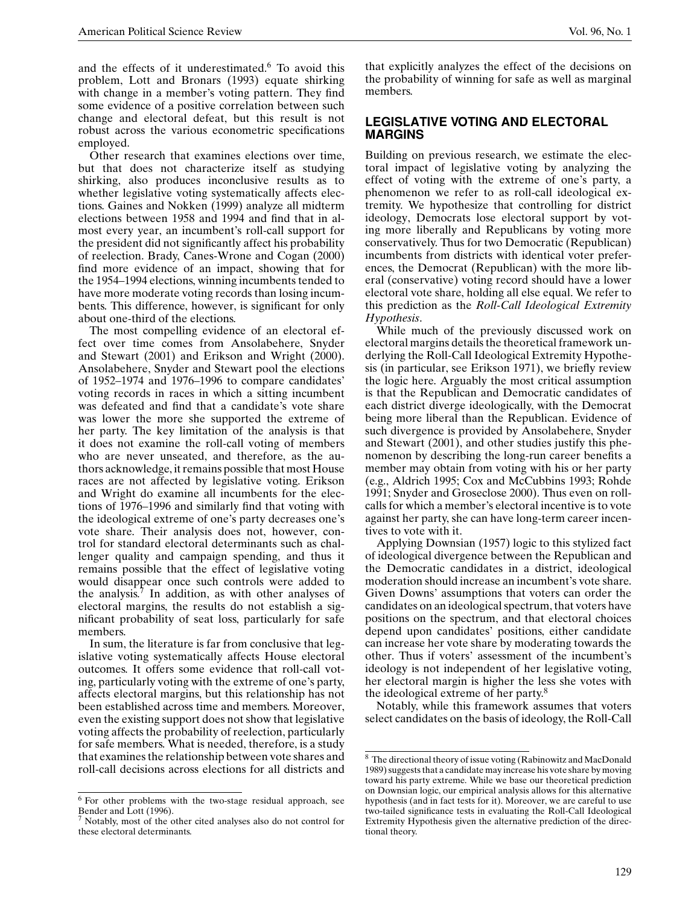and the effects of it underestimated.<sup>6</sup> To avoid this problem, Lott and Bronars (1993) equate shirking with change in a member's voting pattern. They find some evidence of a positive correlation between such change and electoral defeat, but this result is not robust across the various econometric specifications employed.

Other research that examines elections over time, but that does not characterize itself as studying shirking, also produces inconclusive results as to whether legislative voting systematically affects elections. Gaines and Nokken (1999) analyze all midterm elections between 1958 and 1994 and find that in almost every year, an incumbent's roll-call support for the president did not significantly affect his probability of reelection. Brady, Canes-Wrone and Cogan (2000) find more evidence of an impact, showing that for the 1954–1994 elections, winning incumbents tended to have more moderate voting records than losing incumbents. This difference, however, is significant for only about one-third of the elections.

The most compelling evidence of an electoral effect over time comes from Ansolabehere, Snyder and Stewart (2001) and Erikson and Wright (2000). Ansolabehere, Snyder and Stewart pool the elections of 1952–1974 and 1976–1996 to compare candidates' voting records in races in which a sitting incumbent was defeated and find that a candidate's vote share was lower the more she supported the extreme of her party. The key limitation of the analysis is that it does not examine the roll-call voting of members who are never unseated, and therefore, as the authors acknowledge, it remains possible that most House races are not affected by legislative voting. Erikson and Wright do examine all incumbents for the elections of 1976–1996 and similarly find that voting with the ideological extreme of one's party decreases one's vote share. Their analysis does not, however, control for standard electoral determinants such as challenger quality and campaign spending, and thus it remains possible that the effect of legislative voting would disappear once such controls were added to the analysis.<sup>7</sup> In addition, as with other analyses of electoral margins, the results do not establish a significant probability of seat loss, particularly for safe members.

In sum, the literature is far from conclusive that legislative voting systematically affects House electoral outcomes. It offers some evidence that roll-call voting, particularly voting with the extreme of one's party, affects electoral margins, but this relationship has not been established across time and members. Moreover, even the existing support does not show that legislative voting affects the probability of reelection, particularly for safe members. What is needed, therefore, is a study that examines the relationship between vote shares and roll-call decisions across elections for all districts and

#### **LEGISLATIVE VOTING AND ELECTORAL MARGINS**

Building on previous research, we estimate the electoral impact of legislative voting by analyzing the effect of voting with the extreme of one's party, a phenomenon we refer to as roll-call ideological extremity. We hypothesize that controlling for district ideology, Democrats lose electoral support by voting more liberally and Republicans by voting more conservatively. Thus for two Democratic (Republican) incumbents from districts with identical voter preferences, the Democrat (Republican) with the more liberal (conservative) voting record should have a lower electoral vote share, holding all else equal. We refer to this prediction as the *Roll-Call Ideological Extremity Hypothesis*.

While much of the previously discussed work on electoral margins details the theoretical framework underlying the Roll-Call Ideological Extremity Hypothesis (in particular, see Erikson 1971), we briefly review the logic here. Arguably the most critical assumption is that the Republican and Democratic candidates of each district diverge ideologically, with the Democrat being more liberal than the Republican. Evidence of such divergence is provided by Ansolabehere, Snyder and Stewart (2001), and other studies justify this phenomenon by describing the long-run career benefits a member may obtain from voting with his or her party (e.g., Aldrich 1995; Cox and McCubbins 1993; Rohde 1991; Snyder and Groseclose 2000). Thus even on rollcalls for which a member's electoral incentive is to vote against her party, she can have long-term career incentives to vote with it.

Applying Downsian (1957) logic to this stylized fact of ideological divergence between the Republican and the Democratic candidates in a district, ideological moderation should increase an incumbent's vote share. Given Downs' assumptions that voters can order the candidates on an ideological spectrum, that voters have positions on the spectrum, and that electoral choices depend upon candidates' positions, either candidate can increase her vote share by moderating towards the other. Thus if voters' assessment of the incumbent's ideology is not independent of her legislative voting, her electoral margin is higher the less she votes with the ideological extreme of her party.<sup>8</sup>

Notably, while this framework assumes that voters select candidates on the basis of ideology, the Roll-Call

<sup>6</sup> For other problems with the two-stage residual approach, see Bender and Lott (1996).

<sup>7</sup> Notably, most of the other cited analyses also do not control for these electoral determinants.

<sup>8</sup> The directional theory of issue voting (Rabinowitz and MacDonald 1989) suggests that a candidate may increase his vote share by moving toward his party extreme. While we base our theoretical prediction on Downsian logic, our empirical analysis allows for this alternative hypothesis (and in fact tests for it). Moreover, we are careful to use two-tailed significance tests in evaluating the Roll-Call Ideological Extremity Hypothesis given the alternative prediction of the directional theory.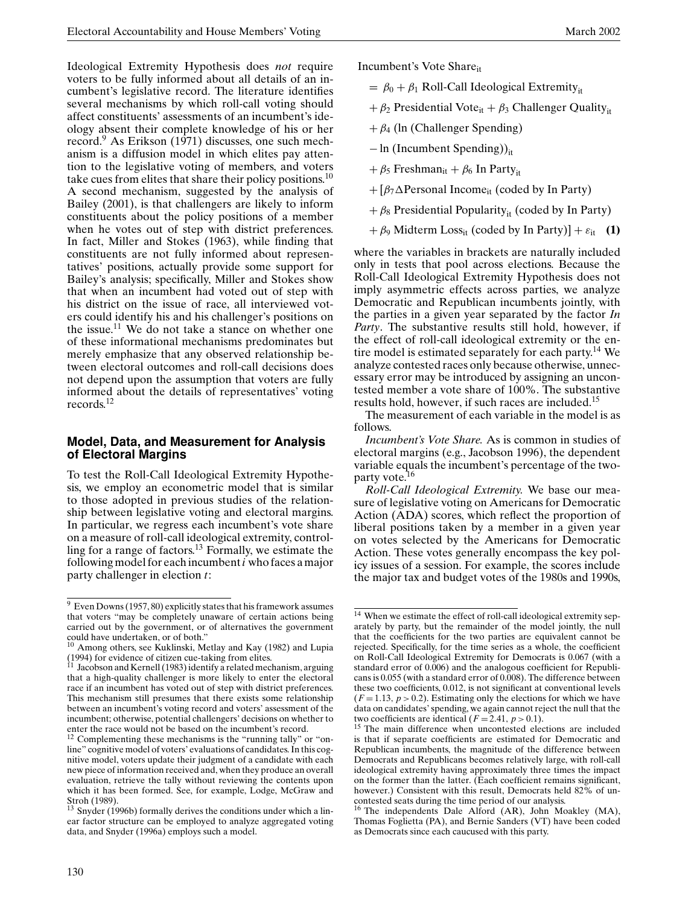Ideological Extremity Hypothesis does *not* require voters to be fully informed about all details of an incumbent's legislative record. The literature identifies several mechanisms by which roll-call voting should affect constituents' assessments of an incumbent's ideology absent their complete knowledge of his or her record.<sup>9</sup> As Erikson (1971) discusses, one such mechanism is a diffusion model in which elites pay attention to the legislative voting of members, and voters take cues from elites that share their policy positions.<sup>10</sup> A second mechanism, suggested by the analysis of Bailey (2001), is that challengers are likely to inform constituents about the policy positions of a member when he votes out of step with district preferences. In fact, Miller and Stokes (1963), while finding that constituents are not fully informed about representatives' positions, actually provide some support for Bailey's analysis; specifically, Miller and Stokes show that when an incumbent had voted out of step with his district on the issue of race, all interviewed voters could identify his and his challenger's positions on the issue.<sup>11</sup> We do not take a stance on whether one of these informational mechanisms predominates but merely emphasize that any observed relationship between electoral outcomes and roll-call decisions does not depend upon the assumption that voters are fully informed about the details of representatives' voting records.12

#### **Model, Data, and Measurement for Analysis of Electoral Margins**

To test the Roll-Call Ideological Extremity Hypothesis, we employ an econometric model that is similar to those adopted in previous studies of the relationship between legislative voting and electoral margins. In particular, we regress each incumbent's vote share on a measure of roll-call ideological extremity, controlling for a range of factors.<sup>13</sup> Formally, we estimate the following model for each incumbent*i* who faces a major party challenger in election *t*:

Incumbent's Vote Share<sub>it</sub>

- $= \beta_0 + \beta_1$  Roll-Call Ideological Extremity<sub>it</sub>
- $+ \beta_2$  Presidential Vote<sub>it</sub> +  $\beta_3$  Challenger Quality<sub>it</sub>
- $+ \beta_4$  (ln (Challenger Spending)
- $-\ln$  (Incumbent Spending))<sub>it</sub>
- +  $\beta_5$  Freshman<sub>it</sub> +  $\beta_6$  In Party<sub>it</sub>
- $+$  [ $\beta$ 7 $\Delta$ Personal Income<sub>it</sub> (coded by In Party)
- $+ \beta_8$  Presidential Popularity<sub>it</sub> (coded by In Party)
- $+ \beta_9$  Midterm Loss<sub>it</sub> (coded by In Party)] +  $\varepsilon_{it}$  (1)

where the variables in brackets are naturally included only in tests that pool across elections. Because the Roll-Call Ideological Extremity Hypothesis does not imply asymmetric effects across parties, we analyze Democratic and Republican incumbents jointly, with the parties in a given year separated by the factor *In Party*. The substantive results still hold, however, if the effect of roll-call ideological extremity or the entire model is estimated separately for each party.<sup>14</sup> We analyze contested races only because otherwise, unnecessary error may be introduced by assigning an uncontested member a vote share of 100%. The substantive results hold, however, if such races are included.<sup>15</sup>

The measurement of each variable in the model is as follows.

*Incumbent's Vote Share.* As is common in studies of electoral margins (e.g., Jacobson 1996), the dependent variable equals the incumbent's percentage of the twoparty vote.<sup>16</sup>

*Roll-Call Ideological Extremity.* We base our measure of legislative voting on Americans for Democratic Action (ADA) scores, which reflect the proportion of liberal positions taken by a member in a given year on votes selected by the Americans for Democratic Action. These votes generally encompass the key policy issues of a session. For example, the scores include the major tax and budget votes of the 1980s and 1990s,

 $9$  Even Downs (1957, 80) explicitly states that his framework assumes that voters "may be completely unaware of certain actions being carried out by the government, or of alternatives the government

<sup>&</sup>lt;sup>10</sup> Among others, see Kuklinski, Metlay and Kay (1982) and Lupia

<sup>(1994)</sup> for evidence of citizen cue-taking from elites. <sup>11</sup> Jacobson and Kernell (1983) identify a related mechanism, arguing that a high-quality challenger is more likely to enter the electoral race if an incumbent has voted out of step with district preferences. This mechanism still presumes that there exists some relationship between an incumbent's voting record and voters' assessment of the incumbent; otherwise, potential challengers' decisions on whether to enter the race would not be based on the incumbent's record. <sup>12</sup> Complementing these mechanisms is the "running tally" or "on-

line" cognitive model of voters' evaluations of candidates. In this cognitive model, voters update their judgment of a candidate with each new piece of information received and, when they produce an overall evaluation, retrieve the tally without reviewing the contents upon which it has been formed. See, for example, Lodge, McGraw and Stroh (1989).

 $13$  Snyder (1996b) formally derives the conditions under which a linear factor structure can be employed to analyze aggregated voting data, and Snyder (1996a) employs such a model.

<sup>&</sup>lt;sup>14</sup> When we estimate the effect of roll-call ideological extremity separately by party, but the remainder of the model jointly, the null that the coefficients for the two parties are equivalent cannot be rejected. Specifically, for the time series as a whole, the coefficient on Roll-Call Ideological Extremity for Democrats is 0.067 (with a standard error of 0.006) and the analogous coefficient for Republicans is 0.055 (with a standard error of 0.008). The difference between these two coefficients, 0.012, is not significant at conventional levels  $(F = 1.13, p > 0.2)$ . Estimating only the elections for which we have data on candidates'spending, we again cannot reject the null that the two coefficients are identical ( $F = 2.41$ ,  $p > 0.1$ ). <sup>15</sup> The main difference when uncontested elections are included

is that if separate coefficients are estimated for Democratic and Republican incumbents, the magnitude of the difference between Democrats and Republicans becomes relatively large, with roll-call ideological extremity having approximately three times the impact on the former than the latter. (Each coefficient remains significant, however.) Consistent with this result, Democrats held 82% of uncontested seats during the time period of our analysis.

<sup>&</sup>lt;sup>16</sup> The independents Dale Alford (AR), John Moakley (MA), Thomas Foglietta (PA), and Bernie Sanders (VT) have been coded as Democrats since each caucused with this party.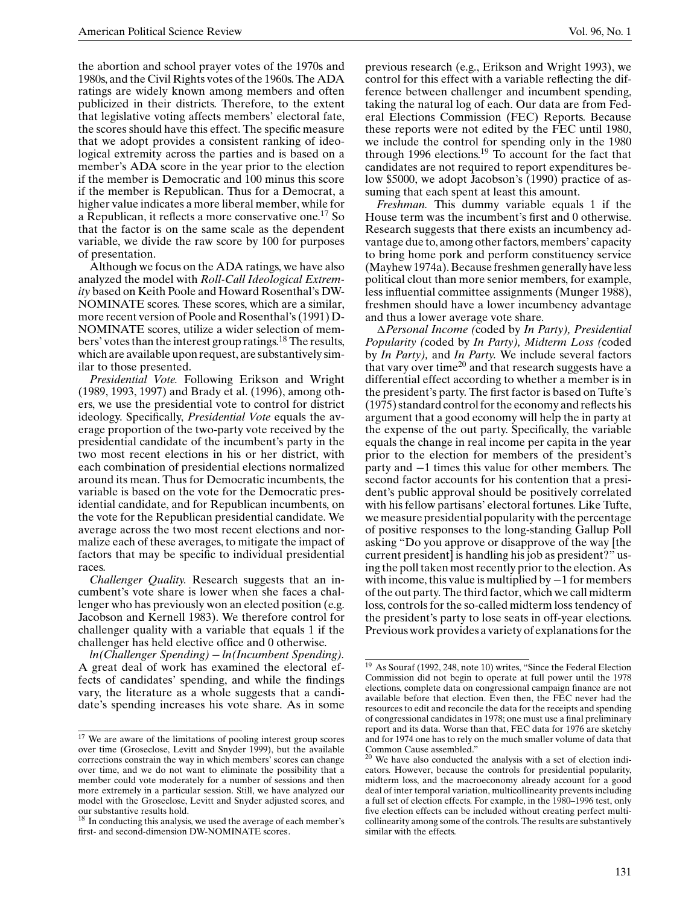the abortion and school prayer votes of the 1970s and 1980s, and the Civil Rights votes of the 1960s. The ADA ratings are widely known among members and often publicized in their districts. Therefore, to the extent that legislative voting affects members' electoral fate, the scores should have this effect. The specific measure that we adopt provides a consistent ranking of ideological extremity across the parties and is based on a member's ADA score in the year prior to the election if the member is Democratic and 100 minus this score if the member is Republican. Thus for a Democrat, a higher value indicates a more liberal member, while for a Republican, it reflects a more conservative one.<sup>17</sup> So that the factor is on the same scale as the dependent variable, we divide the raw score by 100 for purposes of presentation.

Although we focus on the ADA ratings, we have also analyzed the model with *Roll-Call Ideological Extremity* based on Keith Poole and Howard Rosenthal's DW-NOMINATE scores. These scores, which are a similar, more recent version of Poole and Rosenthal's (1991) D-NOMINATE scores, utilize a wider selection of members' votes than the interest group ratings.<sup>18</sup> The results, which are available upon request, are substantively similar to those presented.

*Presidential Vote.* Following Erikson and Wright (1989, 1993, 1997) and Brady et al. (1996), among others, we use the presidential vote to control for district ideology. Specifically, *Presidential Vote* equals the average proportion of the two-party vote received by the presidential candidate of the incumbent's party in the two most recent elections in his or her district, with each combination of presidential elections normalized around its mean. Thus for Democratic incumbents, the variable is based on the vote for the Democratic presidential candidate, and for Republican incumbents, on the vote for the Republican presidential candidate. We average across the two most recent elections and normalize each of these averages, to mitigate the impact of factors that may be specific to individual presidential races.

*Challenger Quality.* Research suggests that an incumbent's vote share is lower when she faces a challenger who has previously won an elected position (e.g. Jacobson and Kernell 1983). We therefore control for challenger quality with a variable that equals 1 if the challenger has held elective office and 0 otherwise.

*ln(Challenger Spending)* − *ln(Incumbent Spending).* A great deal of work has examined the electoral effects of candidates' spending, and while the findings vary, the literature as a whole suggests that a candidate's spending increases his vote share. As in some previous research (e.g., Erikson and Wright 1993), we control for this effect with a variable reflecting the difference between challenger and incumbent spending, taking the natural log of each. Our data are from Federal Elections Commission (FEC) Reports. Because these reports were not edited by the FEC until 1980, we include the control for spending only in the 1980 through 1996 elections.<sup>19</sup> To account for the fact that candidates are not required to report expenditures below \$5000, we adopt Jacobson's (1990) practice of assuming that each spent at least this amount.

*Freshman.* This dummy variable equals 1 if the House term was the incumbent's first and 0 otherwise. Research suggests that there exists an incumbency advantage due to, among other factors, members' capacity to bring home pork and perform constituency service (Mayhew 1974a). Because freshmen generally have less political clout than more senior members, for example, less influential committee assignments (Munger 1988), freshmen should have a lower incumbency advantage and thus a lower average vote share.

*Personal Income (*coded by *In Party), Presidential Popularity (*coded by *In Party), Midterm Loss (*coded by *In Party),* and *In Party.* We include several factors that vary over time<sup>20</sup> and that research suggests have a differential effect according to whether a member is in the president's party. The first factor is based on Tufte's (1975) standard control for the economy and reflects his argument that a good economy will help the in party at the expense of the out party. Specifically, the variable equals the change in real income per capita in the year prior to the election for members of the president's party and −1 times this value for other members. The second factor accounts for his contention that a president's public approval should be positively correlated with his fellow partisans' electoral fortunes. Like Tufte, we measure presidential popularity with the percentage of positive responses to the long-standing Gallup Poll asking "Do you approve or disapprove of the way [the current president] is handling his job as president?" using the poll taken most recently prior to the election. As with income, this value is multiplied by  $-1$  for members of the out party. The third factor, which we call midterm loss, controls for the so-called midterm loss tendency of the president's party to lose seats in off-year elections. Previous work provides a variety of explanations for the

 $17$  We are aware of the limitations of pooling interest group scores over time (Groseclose, Levitt and Snyder 1999), but the available corrections constrain the way in which members' scores can change over time, and we do not want to eliminate the possibility that a member could vote moderately for a number of sessions and then more extremely in a particular session. Still, we have analyzed our model with the Groseclose, Levitt and Snyder adjusted scores, and our substantive results hold.

<sup>&</sup>lt;sup>18</sup> In conducting this analysis, we used the average of each member's first- and second-dimension DW-NOMINATE scores.

<sup>&</sup>lt;sup>19</sup> As Souraf (1992, 248, note 10) writes, "Since the Federal Election Commission did not begin to operate at full power until the 1978 elections, complete data on congressional campaign finance are not available before that election. Even then, the FEC never had the resources to edit and reconcile the data for the receipts and spending of congressional candidates in 1978; one must use a final preliminary report and its data. Worse than that, FEC data for 1976 are sketchy and for 1974 one has to rely on the much smaller volume of data that

Common Cause assembled."<br><sup>20</sup> We have also conducted the analysis with a set of election indicators. However, because the controls for presidential popularity, midterm loss, and the macroeconomy already account for a good deal of inter temporal variation, multicollinearity prevents including a full set of election effects. For example, in the 1980–1996 test, only five election effects can be included without creating perfect multicollinearity among some of the controls. The results are substantively similar with the effects.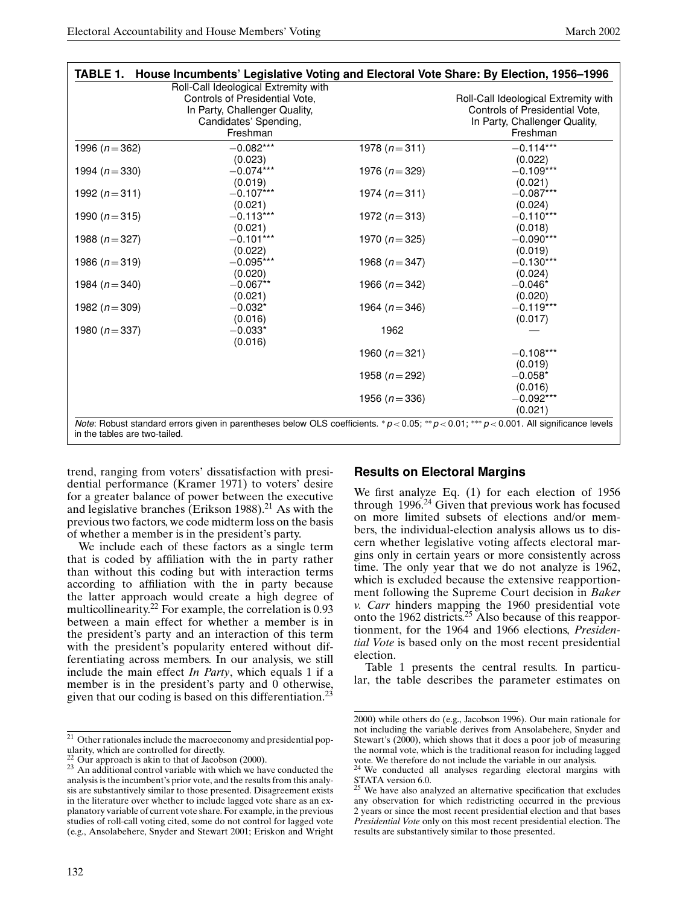| TABLE 1.<br>House Incumbents' Legislative Voting and Electoral Vote Share: By Election, 1956–1996 |                                                                                                                                                    |                    |                                                                                                                     |
|---------------------------------------------------------------------------------------------------|----------------------------------------------------------------------------------------------------------------------------------------------------|--------------------|---------------------------------------------------------------------------------------------------------------------|
|                                                                                                   | Roll-Call Ideological Extremity with<br>Controls of Presidential Vote,<br>In Party, Challenger Quality,<br>Candidates' Spending,<br>Freshman       |                    | Roll-Call Ideological Extremity with<br>Controls of Presidential Vote,<br>In Party, Challenger Quality,<br>Freshman |
| 1996 $(n=362)$                                                                                    | $-0.082***$                                                                                                                                        | 1978 ( $n = 311$ ) | $-0.114***$                                                                                                         |
|                                                                                                   | (0.023)                                                                                                                                            |                    | (0.022)                                                                                                             |
| 1994 ( $n = 330$ )                                                                                | $-0.074***$                                                                                                                                        | 1976 ( $n = 329$ ) | $-0.109***$                                                                                                         |
|                                                                                                   | (0.019)                                                                                                                                            |                    | (0.021)                                                                                                             |
| 1992 $(n=311)$                                                                                    | $-0.107***$                                                                                                                                        | 1974 ( $n = 311$ ) | $-0.087***$                                                                                                         |
|                                                                                                   | (0.021)                                                                                                                                            |                    | (0.024)                                                                                                             |
| 1990 ( $n = 315$ )                                                                                | $-0.113***$                                                                                                                                        | 1972 ( $n = 313$ ) | $-0.110***$                                                                                                         |
|                                                                                                   | (0.021)                                                                                                                                            |                    | (0.018)                                                                                                             |
| 1988 $(n=327)$                                                                                    | $-0.101***$                                                                                                                                        | 1970 ( $n = 325$ ) | $-0.090***$                                                                                                         |
|                                                                                                   | (0.022)                                                                                                                                            |                    | (0.019)                                                                                                             |
| 1986 $(n=319)$                                                                                    | $-0.095***$                                                                                                                                        | 1968 $(n=347)$     | $-0.130***$                                                                                                         |
|                                                                                                   | (0.020)                                                                                                                                            |                    | (0.024)<br>$-0.046*$                                                                                                |
| 1984 ( $n = 340$ )                                                                                | $-0.067**$<br>(0.021)                                                                                                                              | 1966 $(n=342)$     | (0.020)                                                                                                             |
| 1982 ( $n = 309$ )                                                                                | $-0.032*$                                                                                                                                          | 1964 ( $n = 346$ ) | $-0.119***$                                                                                                         |
|                                                                                                   | (0.016)                                                                                                                                            |                    | (0.017)                                                                                                             |
| 1980 $(n=337)$                                                                                    | $-0.033*$                                                                                                                                          | 1962               |                                                                                                                     |
|                                                                                                   | (0.016)                                                                                                                                            |                    |                                                                                                                     |
|                                                                                                   |                                                                                                                                                    | 1960 ( $n = 321$ ) | $-0.108***$                                                                                                         |
|                                                                                                   |                                                                                                                                                    |                    | (0.019)                                                                                                             |
|                                                                                                   |                                                                                                                                                    | 1958 ( $n = 292$ ) | $-0.058*$                                                                                                           |
|                                                                                                   |                                                                                                                                                    |                    | (0.016)                                                                                                             |
|                                                                                                   |                                                                                                                                                    | 1956 ( $n = 336$ ) | $-0.092***$                                                                                                         |
|                                                                                                   |                                                                                                                                                    |                    | (0.021)                                                                                                             |
|                                                                                                   | Note: Robust standard errors given in parentheses below OLS coefficients. * $p < 0.05$ ; ** $p < 0.01$ ; *** $p < 0.001$ . All significance levels |                    |                                                                                                                     |
| in the tables are two-tailed.                                                                     |                                                                                                                                                    |                    |                                                                                                                     |

trend, ranging from voters' dissatisfaction with presidential performance (Kramer 1971) to voters' desire for a greater balance of power between the executive and legislative branches (Erikson 1988).<sup>21</sup> As with the previous two factors, we code midterm loss on the basis of whether a member is in the president's party.

We include each of these factors as a single term that is coded by affiliation with the in party rather than without this coding but with interaction terms according to affiliation with the in party because the latter approach would create a high degree of multicollinearity.<sup>22</sup> For example, the correlation is 0.93 between a main effect for whether a member is in the president's party and an interaction of this term with the president's popularity entered without differentiating across members. In our analysis, we still include the main effect *In Party*, which equals 1 if a member is in the president's party and 0 otherwise, given that our coding is based on this differentiation.<sup>23</sup>

## **Results on Electoral Margins**

We first analyze Eq. (1) for each election of 1956 through  $1996<sup>24</sup>$  Given that previous work has focused on more limited subsets of elections and/or members, the individual-election analysis allows us to discern whether legislative voting affects electoral margins only in certain years or more consistently across time. The only year that we do not analyze is 1962, which is excluded because the extensive reapportionment following the Supreme Court decision in *Baker v. Carr* hinders mapping the 1960 presidential vote onto the 1962 districts.<sup>25</sup> Also because of this reapportionment, for the 1964 and 1966 elections, *Presidential Vote* is based only on the most recent presidential election.

Table 1 presents the central results. In particular, the table describes the parameter estimates on

<sup>&</sup>lt;sup>21</sup> Other rationales include the macroeconomy and presidential pop-

ularity, which are controlled for directly.<br> $22$  Our approach is akin to that of Jacobson (2000).

 $23$  An additional control variable with which we have conducted the analysis is the incumbent's prior vote, and the results from this analysis are substantively similar to those presented. Disagreement exists in the literature over whether to include lagged vote share as an explanatory variable of current vote share. For example, in the previous studies of roll-call voting cited, some do not control for lagged vote (e.g., Ansolabehere, Snyder and Stewart 2001; Eriskon and Wright

<sup>2000)</sup> while others do (e.g., Jacobson 1996). Our main rationale for not including the variable derives from Ansolabehere, Snyder and Stewart's (2000), which shows that it does a poor job of measuring the normal vote, which is the traditional reason for including lagged

vote. We therefore do not include the variable in our analysis. <sup>24</sup> We conducted all analyses regarding electoral margins with STATA version 6.0.  $\frac{25}{25}$  We have also analyzed an alternative specification that excludes

any observation for which redistricting occurred in the previous 2 years or since the most recent presidential election and that bases *Presidential Vote* only on this most recent presidential election. The results are substantively similar to those presented.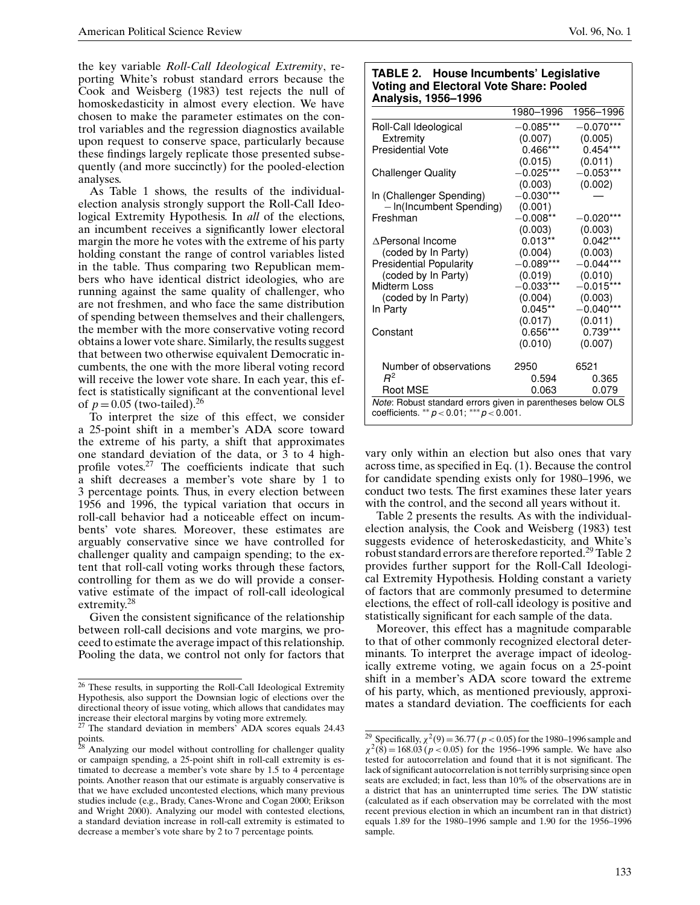the key variable *Roll-Call Ideological Extremity*, reporting White's robust standard errors because the Cook and Weisberg (1983) test rejects the null of homoskedasticity in almost every election. We have chosen to make the parameter estimates on the control variables and the regression diagnostics available upon request to conserve space, particularly because these findings largely replicate those presented subsequently (and more succinctly) for the pooled-election analyses.

As Table 1 shows, the results of the individualelection analysis strongly support the Roll-Call Ideological Extremity Hypothesis. In *all* of the elections, an incumbent receives a significantly lower electoral margin the more he votes with the extreme of his party holding constant the range of control variables listed in the table. Thus comparing two Republican members who have identical district ideologies, who are running against the same quality of challenger, who are not freshmen, and who face the same distribution of spending between themselves and their challengers, the member with the more conservative voting record obtains a lower vote share. Similarly, the results suggest that between two otherwise equivalent Democratic incumbents, the one with the more liberal voting record will receive the lower vote share. In each year, this effect is statistically significant at the conventional level of  $p = 0.05$  (two-tailed).<sup>26</sup>

To interpret the size of this effect, we consider a 25-point shift in a member's ADA score toward the extreme of his party, a shift that approximates one standard deviation of the data, or 3 to 4 highprofile votes.<sup>27</sup> The coefficients indicate that such a shift decreases a member's vote share by 1 to 3 percentage points. Thus, in every election between 1956 and 1996, the typical variation that occurs in roll-call behavior had a noticeable effect on incumbents' vote shares. Moreover, these estimates are arguably conservative since we have controlled for challenger quality and campaign spending; to the extent that roll-call voting works through these factors, controlling for them as we do will provide a conservative estimate of the impact of roll-call ideological extremity.28

Given the consistent significance of the relationship between roll-call decisions and vote margins, we proceed to estimate the average impact of this relationship. Pooling the data, we control not only for factors that

|                     | TABLE 2. House Incumbents' Legislative         |
|---------------------|------------------------------------------------|
|                     | <b>Voting and Electoral Vote Share: Pooled</b> |
| Analysis, 1956-1996 |                                                |

|                                                                                                                | 1980-1996   | 1956-1996   |  |
|----------------------------------------------------------------------------------------------------------------|-------------|-------------|--|
| Roll-Call Ideological                                                                                          | $-0.085***$ | $-0.070***$ |  |
| Extremity                                                                                                      | (0.007)     | (0.005)     |  |
| <b>Presidential Vote</b>                                                                                       | 0.466***    | 0.454 ***   |  |
|                                                                                                                | (0.015)     | (0.011)     |  |
| <b>Challenger Quality</b>                                                                                      | $-0.025***$ | $-0.053***$ |  |
|                                                                                                                | (0.003)     | (0.002)     |  |
| In (Challenger Spending)                                                                                       | $-0.030***$ |             |  |
| - In(Incumbent Spending)                                                                                       | (0.001)     |             |  |
| Freshman                                                                                                       | $-0.008**$  | $-0.020***$ |  |
|                                                                                                                | (0.003)     | (0.003)     |  |
| $\triangle$ Personal Income                                                                                    | $0.013**$   | $0.042***$  |  |
| (coded by In Party)                                                                                            | (0.004)     | (0.003)     |  |
| <b>Presidential Popularity</b>                                                                                 | $-0.089***$ | $-0.044***$ |  |
| (coded by In Party)                                                                                            | (0.019)     | (0.010)     |  |
| Midterm Loss                                                                                                   | $-0.033***$ | $-0.015***$ |  |
| (coded by In Party)                                                                                            | (0.004)     | (0.003)     |  |
| In Party                                                                                                       | $0.045**$   | $-0.040***$ |  |
|                                                                                                                | (0.017)     | (0.011)     |  |
| Constant                                                                                                       | 0.656***    | $0.739***$  |  |
|                                                                                                                | (0.010)     | (0.007)     |  |
| Number of observations                                                                                         | 2950        | 6521        |  |
| $R^2$                                                                                                          | 0.594       | 0.365       |  |
| Root MSE                                                                                                       | 0.063       | 0.079       |  |
| Note: Robust standard errors given in parentheses below OLS<br>coefficients. ** $p < 0.01$ ; *** $p < 0.001$ . |             |             |  |

vary only within an election but also ones that vary across time, as specified in Eq. (1). Because the control for candidate spending exists only for 1980–1996, we conduct two tests. The first examines these later years with the control, and the second all years without it.

Table 2 presents the results. As with the individualelection analysis, the Cook and Weisberg (1983) test suggests evidence of heteroskedasticity, and White's robust standard errors are therefore reported.<sup>29</sup> Table 2 provides further support for the Roll-Call Ideological Extremity Hypothesis. Holding constant a variety of factors that are commonly presumed to determine elections, the effect of roll-call ideology is positive and statistically significant for each sample of the data.

Moreover, this effect has a magnitude comparable to that of other commonly recognized electoral determinants. To interpret the average impact of ideologically extreme voting, we again focus on a 25-point shift in a member's ADA score toward the extreme of his party, which, as mentioned previously, approximates a standard deviation. The coefficients for each

<sup>26</sup> These results, in supporting the Roll-Call Ideological Extremity Hypothesis, also support the Downsian logic of elections over the directional theory of issue voting, which allows that candidates may increase their electoral margins by voting more extremely.

<sup>&</sup>lt;sup>27</sup> The standard deviation in members<sup>7</sup> ADA scores equals 24.43 points.

<sup>&</sup>lt;sup>28</sup> Analyzing our model without controlling for challenger quality or campaign spending, a 25-point shift in roll-call extremity is estimated to decrease a member's vote share by 1.5 to 4 percentage points. Another reason that our estimate is arguably conservative is that we have excluded uncontested elections, which many previous studies include (e.g., Brady, Canes-Wrone and Cogan 2000; Erikson and Wright 2000). Analyzing our model with contested elections, a standard deviation increase in roll-call extremity is estimated to decrease a member's vote share by 2 to 7 percentage points.

<sup>&</sup>lt;sup>29</sup> Specifically,  $\chi^2(9) = 36.77$  ( $p < 0.05$ ) for the 1980–1996 sample and  $\chi^2(8) = 168.03$  ( $p < 0.05$ ) for the 1956–1996 sample. We have also tested for autocorrelation and found that it is not significant. The lack of significant autocorrelation is not terribly surprising since open seats are excluded; in fact, less than 10% of the observations are in a district that has an uninterrupted time series. The DW statistic (calculated as if each observation may be correlated with the most recent previous election in which an incumbent ran in that district) equals 1.89 for the 1980–1996 sample and 1.90 for the 1956–1996 sample.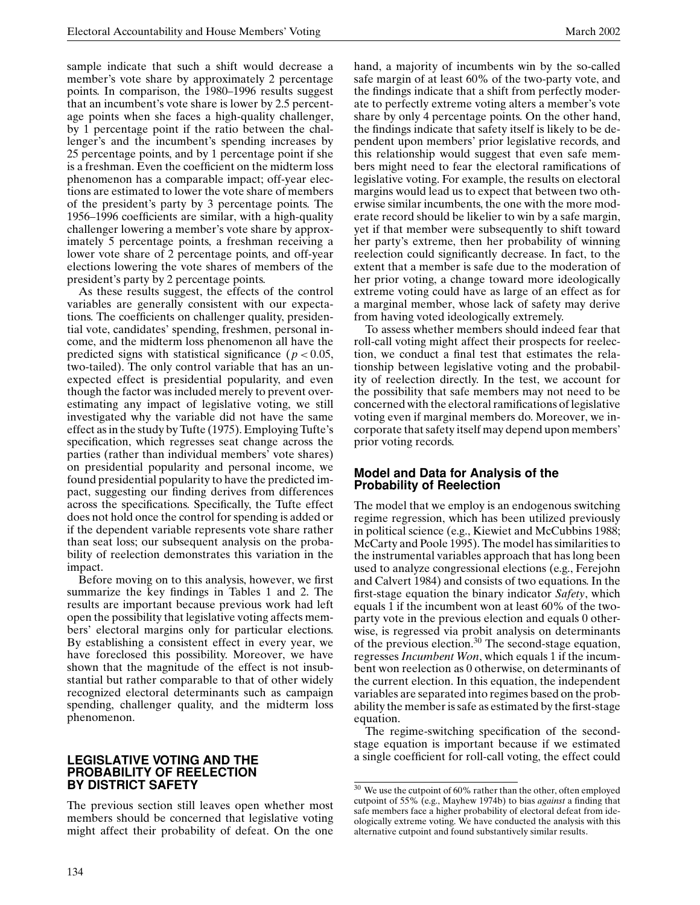sample indicate that such a shift would decrease a member's vote share by approximately 2 percentage points. In comparison, the 1980–1996 results suggest that an incumbent's vote share is lower by 2.5 percentage points when she faces a high-quality challenger, by 1 percentage point if the ratio between the challenger's and the incumbent's spending increases by 25 percentage points, and by 1 percentage point if she is a freshman. Even the coefficient on the midterm loss phenomenon has a comparable impact; off-year elections are estimated to lower the vote share of members of the president's party by 3 percentage points. The 1956–1996 coefficients are similar, with a high-quality challenger lowering a member's vote share by approximately 5 percentage points, a freshman receiving a lower vote share of 2 percentage points, and off-year elections lowering the vote shares of members of the president's party by 2 percentage points.

As these results suggest, the effects of the control variables are generally consistent with our expectations. The coefficients on challenger quality, presidential vote, candidates' spending, freshmen, personal income, and the midterm loss phenomenon all have the predicted signs with statistical significance ( $p < 0.05$ , two-tailed). The only control variable that has an unexpected effect is presidential popularity, and even though the factor was included merely to prevent overestimating any impact of legislative voting, we still investigated why the variable did not have the same effect as in the study by Tufte (1975). Employing Tufte's specification, which regresses seat change across the parties (rather than individual members' vote shares) on presidential popularity and personal income, we found presidential popularity to have the predicted impact, suggesting our finding derives from differences across the specifications. Specifically, the Tufte effect does not hold once the control for spending is added or if the dependent variable represents vote share rather than seat loss; our subsequent analysis on the probability of reelection demonstrates this variation in the impact.

Before moving on to this analysis, however, we first summarize the key findings in Tables 1 and 2. The results are important because previous work had left open the possibility that legislative voting affects members' electoral margins only for particular elections. By establishing a consistent effect in every year, we have foreclosed this possibility. Moreover, we have shown that the magnitude of the effect is not insubstantial but rather comparable to that of other widely recognized electoral determinants such as campaign spending, challenger quality, and the midterm loss phenomenon.

#### **LEGISLATIVE VOTING AND THE PROBABILITY OF REELECTION BY DISTRICT SAFETY**

The previous section still leaves open whether most members should be concerned that legislative voting might affect their probability of defeat. On the one hand, a majority of incumbents win by the so-called safe margin of at least 60% of the two-party vote, and the findings indicate that a shift from perfectly moderate to perfectly extreme voting alters a member's vote share by only 4 percentage points. On the other hand, the findings indicate that safety itself is likely to be dependent upon members' prior legislative records, and this relationship would suggest that even safe members might need to fear the electoral ramifications of legislative voting. For example, the results on electoral margins would lead us to expect that between two otherwise similar incumbents, the one with the more moderate record should be likelier to win by a safe margin, yet if that member were subsequently to shift toward her party's extreme, then her probability of winning reelection could significantly decrease. In fact, to the extent that a member is safe due to the moderation of her prior voting, a change toward more ideologically extreme voting could have as large of an effect as for a marginal member, whose lack of safety may derive from having voted ideologically extremely.

To assess whether members should indeed fear that roll-call voting might affect their prospects for reelection, we conduct a final test that estimates the relationship between legislative voting and the probability of reelection directly. In the test, we account for the possibility that safe members may not need to be concerned with the electoral ramifications of legislative voting even if marginal members do. Moreover, we incorporate that safety itself may depend upon members' prior voting records.

#### **Model and Data for Analysis of the Probability of Reelection**

The model that we employ is an endogenous switching regime regression, which has been utilized previously in political science (e.g., Kiewiet and McCubbins 1988; McCarty and Poole 1995). The model has similarities to the instrumental variables approach that has long been used to analyze congressional elections (e.g., Ferejohn and Calvert 1984) and consists of two equations. In the first-stage equation the binary indicator *Safety*, which equals 1 if the incumbent won at least 60% of the twoparty vote in the previous election and equals 0 otherwise, is regressed via probit analysis on determinants of the previous election.<sup>30</sup> The second-stage equation, regresses *Incumbent Won*, which equals 1 if the incumbent won reelection as 0 otherwise, on determinants of the current election. In this equation, the independent variables are separated into regimes based on the probability the member is safe as estimated by the first-stage equation.

The regime-switching specification of the secondstage equation is important because if we estimated a single coefficient for roll-call voting, the effect could

 $30$  We use the cutpoint of 60% rather than the other, often employed cutpoint of 55% (e.g., Mayhew 1974b) to bias *against* a finding that safe members face a higher probability of electoral defeat from ideologically extreme voting. We have conducted the analysis with this alternative cutpoint and found substantively similar results.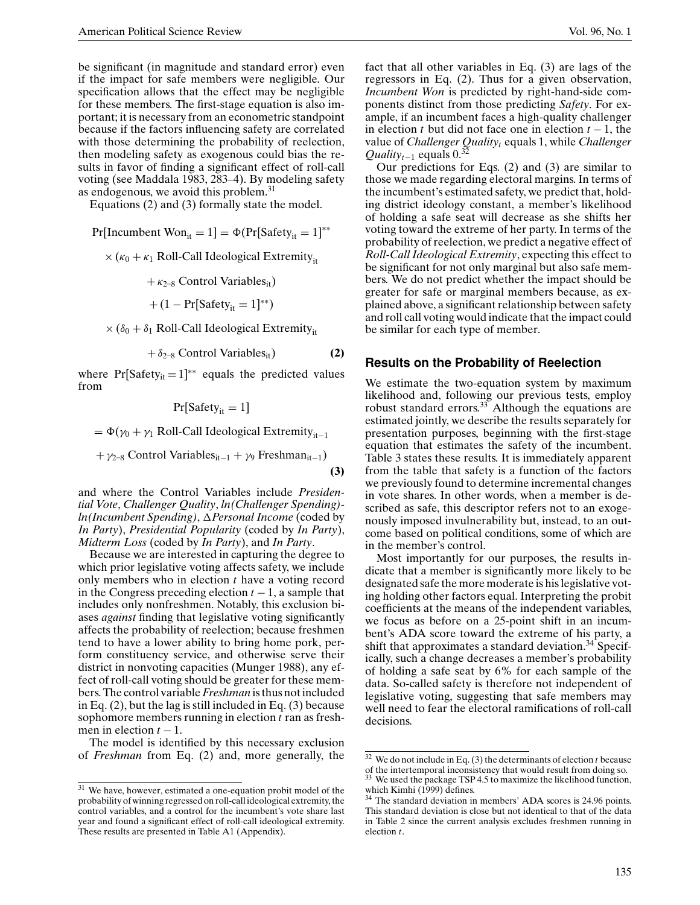be significant (in magnitude and standard error) even if the impact for safe members were negligible. Our specification allows that the effect may be negligible for these members. The first-stage equation is also important; it is necessary from an econometric standpoint because if the factors influencing safety are correlated with those determining the probability of reelection, then modeling safety as exogenous could bias the results in favor of finding a significant effect of roll-call voting (see Maddala 1983, 283–4). By modeling safety as endogenous, we avoid this problem.<sup>31</sup>

Equations (2) and (3) formally state the model.

Pr[Incumbent Won<sub>it</sub> = 1] =  $\Phi(\Pr[\text{Safety}_{it} = 1]^{**})$ 

 $\times$  ( $\kappa_0$  +  $\kappa_1$  Roll-Call Ideological Extremity<sub>it</sub>

$$
+ \kappa_{2-8}
$$
 Control Variables<sub>it</sub>

$$
+(1 - \Pr[\text{Safety}_{it} = 1]^{**})
$$

 $\times$  ( $\delta_0 + \delta_1$  Roll-Call Ideological Extremity<sub>it</sub>

 $+\delta_{2-8}$  Control Variables<sub>it</sub>) (2)

where  $Pr[Safe{ty_{it}} = 1]^{**}$  equals the predicted values from

$$
Pr[Safety_{it} = 1]
$$

 $= \Phi(\gamma_0 + \gamma_1 \text{ Roll-Call Ideological Extremity}_{it-1})$ 

+ 
$$
\gamma_{2-8}
$$
 Control Variables<sub>it-1</sub> +  $\gamma_9$  Freshman<sub>it-1</sub>)   
(3)

and where the Control Variables include *Presidential Vote*, *Challenger Quality*, *ln(Challenger Spending) ln(Incumbent Spending), ∆Personal Income (coded by In Party*), *Presidential Popularity* (coded by *In Party*), *Midterm Loss* (coded by *In Party*), and *In Party*.

Because we are interested in capturing the degree to which prior legislative voting affects safety, we include only members who in election *t* have a voting record in the Congress preceding election *t* − 1, a sample that includes only nonfreshmen. Notably, this exclusion biases *against* finding that legislative voting significantly affects the probability of reelection; because freshmen tend to have a lower ability to bring home pork, perform constituency service, and otherwise serve their district in nonvoting capacities (Munger 1988), any effect of roll-call voting should be greater for these members. The control variable*Freshman* is thus not included in Eq. (2), but the lag is still included in Eq. (3) because sophomore members running in election *t* ran as freshmen in election  $t - 1$ .

The model is identified by this necessary exclusion of *Freshman* from Eq. (2) and, more generally, the fact that all other variables in Eq. (3) are lags of the regressors in Eq. (2). Thus for a given observation, *Incumbent Won* is predicted by right-hand-side components distinct from those predicting *Safety*. For example, if an incumbent faces a high-quality challenger in election *t* but did not face one in election  $t - 1$ , the value of *Challenger Qualityt* equals 1, while *Challenger Quality*<sub>t−1</sub> equals  $0^{32}$ 

Our predictions for Eqs. (2) and (3) are similar to those we made regarding electoral margins. In terms of the incumbent's estimated safety, we predict that, holding district ideology constant, a member's likelihood of holding a safe seat will decrease as she shifts her voting toward the extreme of her party. In terms of the probability of reelection, we predict a negative effect of *Roll-Call Ideological Extremity*, expecting this effect to be significant for not only marginal but also safe members. We do not predict whether the impact should be greater for safe or marginal members because, as explained above, a significant relationship between safety and roll call voting would indicate that the impact could be similar for each type of member.

#### **Results on the Probability of Reelection**

We estimate the two-equation system by maximum likelihood and, following our previous tests, employ robust standard errors.<sup>33</sup> Although the equations are estimated jointly, we describe the results separately for presentation purposes, beginning with the first-stage equation that estimates the safety of the incumbent. Table 3 states these results. It is immediately apparent from the table that safety is a function of the factors we previously found to determine incremental changes in vote shares. In other words, when a member is described as safe, this descriptor refers not to an exogenously imposed invulnerability but, instead, to an outcome based on political conditions, some of which are in the member's control.

Most importantly for our purposes, the results indicate that a member is significantly more likely to be designated safe the more moderate is his legislative voting holding other factors equal. Interpreting the probit coefficients at the means of the independent variables, we focus as before on a 25-point shift in an incumbent's ADA score toward the extreme of his party, a shift that approximates a standard deviation.<sup>34</sup> Specifically, such a change decreases a member's probability of holding a safe seat by 6% for each sample of the data. So-called safety is therefore not independent of legislative voting, suggesting that safe members may well need to fear the electoral ramifications of roll-call decisions.

<sup>31</sup> We have, however, estimated a one-equation probit model of the probability of winning regressed on roll-call ideological extremity, the control variables, and a control for the incumbent's vote share last year and found a significant effect of roll-call ideological extremity. These results are presented in Table A1 (Appendix).

<sup>&</sup>lt;sup>32</sup> We do not include in Eq. (3) the determinants of election *t* because

of the intertemporal inconsistency that would result from doing so.  $33$  We used the package TSP 4.5 to maximize the likelihood function, which Kimhi (1999) defines.

 $34$  The standard deviation in members' ADA scores is 24.96 points. This standard deviation is close but not identical to that of the data in Table 2 since the current analysis excludes freshmen running in election *t*.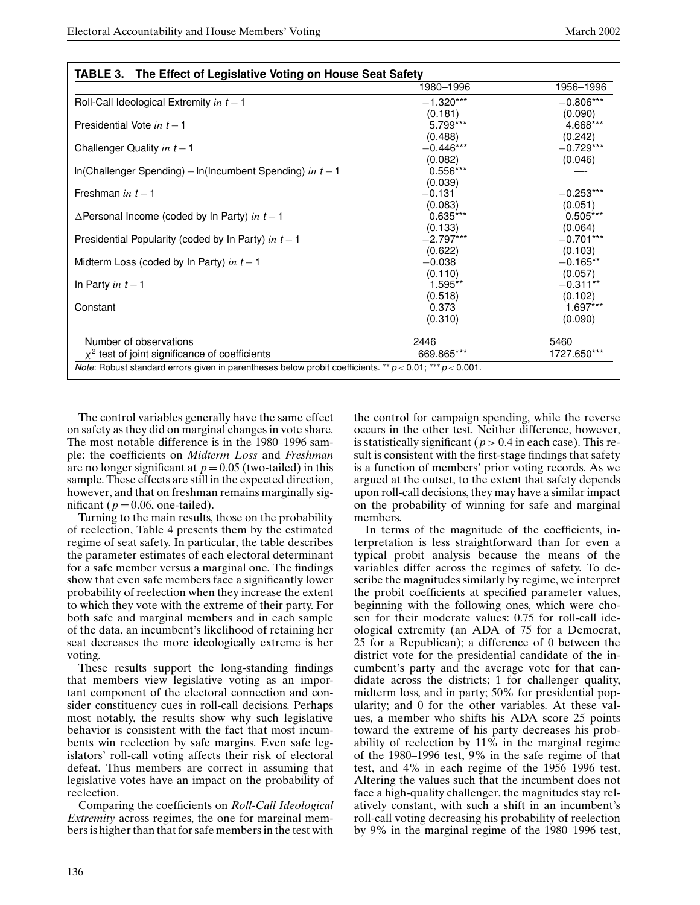|                                                             | 1980-1996   | 1956-1996   |
|-------------------------------------------------------------|-------------|-------------|
| Roll-Call Ideological Extremity in $t - 1$                  | $-1.320***$ | $-0.806***$ |
|                                                             | (0.181)     | (0.090)     |
| Presidential Vote in $t-1$                                  | $5.799***$  | 4.668***    |
|                                                             | (0.488)     | (0.242)     |
| Challenger Quality in $t-1$                                 | $-0.446***$ | $-0.729***$ |
|                                                             | (0.082)     | (0.046)     |
| In (Challenger Spending) – In (Incumbent Spending) in $t-1$ | 0.556***    |             |
|                                                             | (0.039)     |             |
| Freshman <i>in</i> $t - 1$                                  | $-0.131$    | $-0.253***$ |
|                                                             | (0.083)     | (0.051)     |
| $\triangle$ Personal Income (coded by In Party) in $t-1$    | $0.635***$  | $0.505***$  |
|                                                             | (0.133)     | (0.064)     |
| Presidential Popularity (coded by In Party) in $t-1$        | $-2.797***$ | $-0.701***$ |
|                                                             | (0.622)     | (0.103)     |
| Midterm Loss (coded by In Party) in $t-1$                   | $-0.038$    | $-0.165**$  |
|                                                             | (0.110)     | (0.057)     |
| In Party in $t-1$                                           | 1.595**     | $-0.311**$  |
|                                                             | (0.518)     | (0.102)     |
| Constant                                                    | 0.373       | $1.697***$  |
|                                                             | (0.310)     | (0.090)     |
| Number of observations                                      | 2446        | 5460        |
| $\chi^2$ test of joint significance of coefficients         | 669.865***  | 1727.650*** |

The control variables generally have the same effect on safety as they did on marginal changes in vote share. The most notable difference is in the 1980–1996 sample: the coefficients on *Midterm Loss* and *Freshman* are no longer significant at  $p = 0.05$  (two-tailed) in this sample. These effects are still in the expected direction, however, and that on freshman remains marginally significant ( $p = 0.06$ , one-tailed).

Turning to the main results, those on the probability of reelection, Table 4 presents them by the estimated regime of seat safety. In particular, the table describes the parameter estimates of each electoral determinant for a safe member versus a marginal one. The findings show that even safe members face a significantly lower probability of reelection when they increase the extent to which they vote with the extreme of their party. For both safe and marginal members and in each sample of the data, an incumbent's likelihood of retaining her seat decreases the more ideologically extreme is her voting.

These results support the long-standing findings that members view legislative voting as an important component of the electoral connection and consider constituency cues in roll-call decisions. Perhaps most notably, the results show why such legislative behavior is consistent with the fact that most incumbents win reelection by safe margins. Even safe legislators' roll-call voting affects their risk of electoral defeat. Thus members are correct in assuming that legislative votes have an impact on the probability of reelection.

Comparing the coefficients on *Roll-Call Ideological Extremity* across regimes, the one for marginal members is higher than that for safe members in the test with the control for campaign spending, while the reverse occurs in the other test. Neither difference, however, is statistically significant ( $p > 0.4$  in each case). This result is consistent with the first-stage findings that safety is a function of members' prior voting records. As we argued at the outset, to the extent that safety depends upon roll-call decisions, they may have a similar impact on the probability of winning for safe and marginal members.

In terms of the magnitude of the coefficients, interpretation is less straightforward than for even a typical probit analysis because the means of the variables differ across the regimes of safety. To describe the magnitudes similarly by regime, we interpret the probit coefficients at specified parameter values, beginning with the following ones, which were chosen for their moderate values: 0.75 for roll-call ideological extremity (an ADA of 75 for a Democrat, 25 for a Republican); a difference of 0 between the district vote for the presidential candidate of the incumbent's party and the average vote for that candidate across the districts; 1 for challenger quality, midterm loss, and in party; 50% for presidential popularity; and 0 for the other variables. At these values, a member who shifts his ADA score 25 points toward the extreme of his party decreases his probability of reelection by 11% in the marginal regime of the 1980–1996 test, 9% in the safe regime of that test, and 4% in each regime of the 1956–1996 test. Altering the values such that the incumbent does not face a high-quality challenger, the magnitudes stay relatively constant, with such a shift in an incumbent's roll-call voting decreasing his probability of reelection by 9% in the marginal regime of the 1980–1996 test,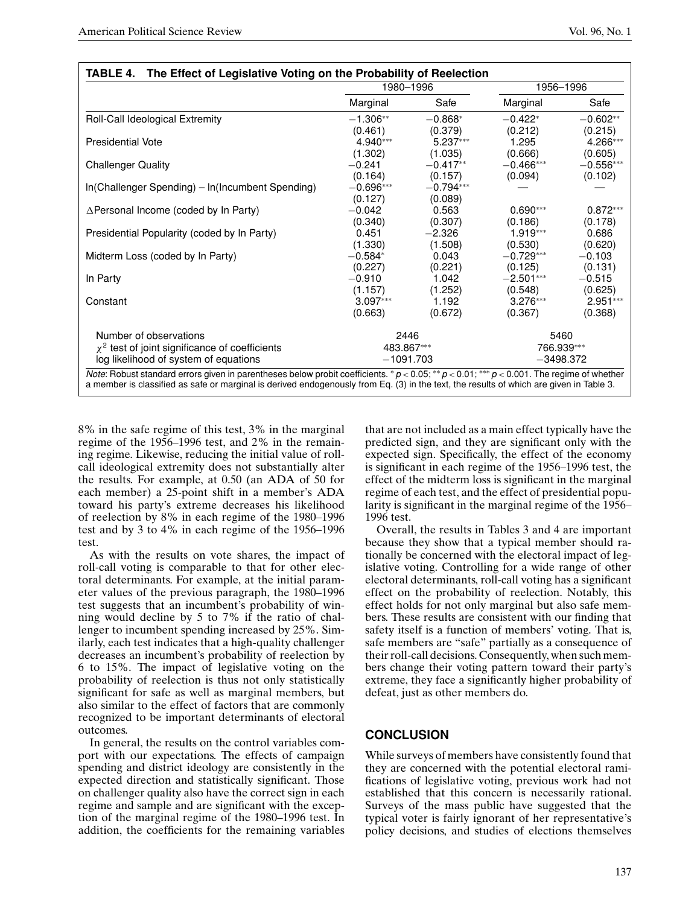|                                                                                                                                                             |             | 1980-1996   |             | 1956-1996   |  |
|-------------------------------------------------------------------------------------------------------------------------------------------------------------|-------------|-------------|-------------|-------------|--|
|                                                                                                                                                             | Marginal    | Safe        | Marginal    | Safe        |  |
| Roll-Call Ideological Extremity                                                                                                                             | $-1.306**$  | $-0.868*$   | $-0.422*$   | $-0.602**$  |  |
|                                                                                                                                                             | (0.461)     | (0.379)     | (0.212)     | (0.215)     |  |
| <b>Presidential Vote</b>                                                                                                                                    | $4.940***$  | $5.237***$  | 1.295       | 4.266***    |  |
|                                                                                                                                                             | (1.302)     | (1.035)     | (0.666)     | (0.605)     |  |
| <b>Challenger Quality</b>                                                                                                                                   | $-0.241$    | $-0.417**$  | $-0.466***$ | $-0.556***$ |  |
|                                                                                                                                                             | (0.164)     | (0.157)     | (0.094)     | (0.102)     |  |
| In(Challenger Spending) – In(Incumbent Spending)                                                                                                            | $-0.696***$ | $-0.794***$ |             |             |  |
|                                                                                                                                                             | (0.127)     | (0.089)     |             |             |  |
| $\triangle$ Personal Income (coded by In Party)                                                                                                             | $-0.042$    | 0.563       | $0.690***$  | $0.872***$  |  |
|                                                                                                                                                             | (0.340)     | (0.307)     | (0.186)     | (0.178)     |  |
| Presidential Popularity (coded by In Party)                                                                                                                 | 0.451       | $-2.326$    | $1.919***$  | 0.686       |  |
|                                                                                                                                                             | (1.330)     | (1.508)     | (0.530)     | (0.620)     |  |
| Midterm Loss (coded by In Party)                                                                                                                            | $-0.584*$   | 0.043       | $-0.729***$ | $-0.103$    |  |
|                                                                                                                                                             | (0.227)     | (0.221)     | (0.125)     | (0.131)     |  |
| In Party                                                                                                                                                    | $-0.910$    | 1.042       | $-2.501***$ | $-0.515$    |  |
|                                                                                                                                                             | (1.157)     | (1.252)     | (0.548)     | (0.625)     |  |
| Constant                                                                                                                                                    | $3.097***$  | 1.192       | $3.276***$  | $2.951***$  |  |
|                                                                                                                                                             | (0.663)     | (0.672)     | (0.367)     | (0.368)     |  |
| Number of observations                                                                                                                                      | 2446        |             | 5460        |             |  |
| $\chi^2$ test of joint significance of coefficients                                                                                                         | 483.867***  |             | 766.939***  |             |  |
| log likelihood of system of equations                                                                                                                       | $-1091.703$ |             | $-3498.372$ |             |  |
| <i>Note</i> : Robust standard errors given in parentheses below probit coefficients. * $p < 0.05$ ; ** $p < 0.01$ ; *** $p < 0.001$ . The regime of whether |             |             |             |             |  |

#### **TABLE 4. The Effect of Legislative Voting on the Probability of Reelection**

8% in the safe regime of this test, 3% in the marginal regime of the 1956–1996 test, and 2% in the remaining regime. Likewise, reducing the initial value of rollcall ideological extremity does not substantially alter the results. For example, at 0.50 (an ADA of 50 for each member) a 25-point shift in a member's ADA toward his party's extreme decreases his likelihood of reelection by 8% in each regime of the 1980–1996 test and by 3 to 4% in each regime of the 1956–1996 test.

As with the results on vote shares, the impact of roll-call voting is comparable to that for other electoral determinants. For example, at the initial parameter values of the previous paragraph, the 1980–1996 test suggests that an incumbent's probability of winning would decline by 5 to 7% if the ratio of challenger to incumbent spending increased by 25%. Similarly, each test indicates that a high-quality challenger decreases an incumbent's probability of reelection by 6 to 15%. The impact of legislative voting on the probability of reelection is thus not only statistically significant for safe as well as marginal members, but also similar to the effect of factors that are commonly recognized to be important determinants of electoral outcomes.

In general, the results on the control variables comport with our expectations. The effects of campaign spending and district ideology are consistently in the expected direction and statistically significant. Those on challenger quality also have the correct sign in each regime and sample and are significant with the exception of the marginal regime of the 1980–1996 test. In addition, the coefficients for the remaining variables that are not included as a main effect typically have the predicted sign, and they are significant only with the expected sign. Specifically, the effect of the economy is significant in each regime of the 1956–1996 test, the effect of the midterm loss is significant in the marginal regime of each test, and the effect of presidential popularity is significant in the marginal regime of the 1956– 1996 test.

Overall, the results in Tables 3 and 4 are important because they show that a typical member should rationally be concerned with the electoral impact of legislative voting. Controlling for a wide range of other electoral determinants, roll-call voting has a significant effect on the probability of reelection. Notably, this effect holds for not only marginal but also safe members. These results are consistent with our finding that safety itself is a function of members' voting. That is, safe members are "safe" partially as a consequence of their roll-call decisions. Consequently, when such members change their voting pattern toward their party's extreme, they face a significantly higher probability of defeat, just as other members do.

## **CONCLUSION**

While surveys of members have consistently found that they are concerned with the potential electoral ramifications of legislative voting, previous work had not established that this concern is necessarily rational. Surveys of the mass public have suggested that the typical voter is fairly ignorant of her representative's policy decisions, and studies of elections themselves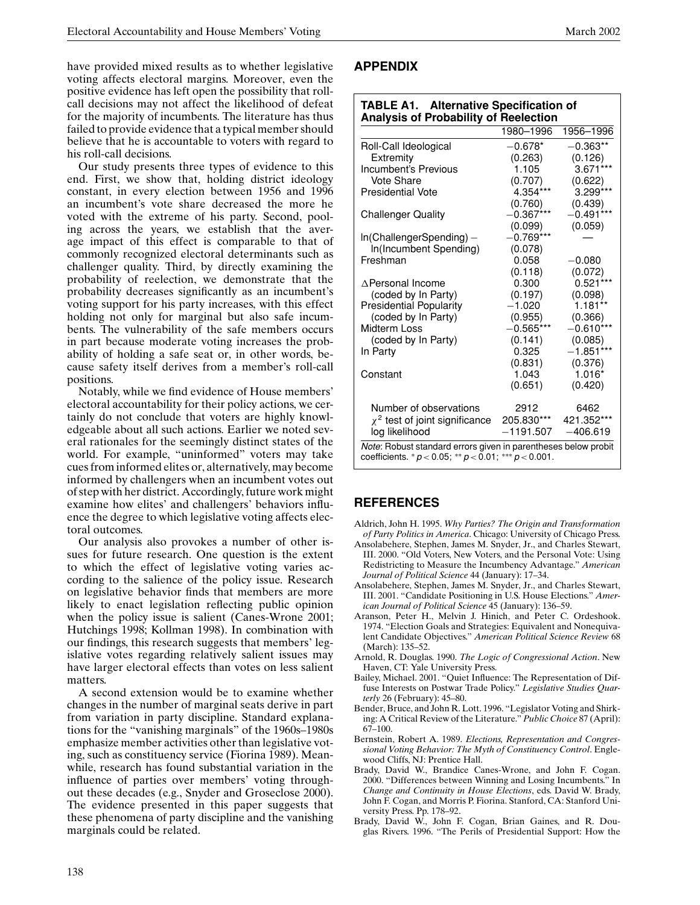have provided mixed results as to whether legislative voting affects electoral margins. Moreover, even the positive evidence has left open the possibility that rollcall decisions may not affect the likelihood of defeat for the majority of incumbents. The literature has thus failed to provide evidence that a typical member should believe that he is accountable to voters with regard to his roll-call decisions.

Our study presents three types of evidence to this end. First, we show that, holding district ideology constant, in every election between 1956 and 1996 an incumbent's vote share decreased the more he voted with the extreme of his party. Second, pooling across the years, we establish that the average impact of this effect is comparable to that of commonly recognized electoral determinants such as challenger quality. Third, by directly examining the probability of reelection, we demonstrate that the probability decreases significantly as an incumbent's voting support for his party increases, with this effect holding not only for marginal but also safe incumbents. The vulnerability of the safe members occurs in part because moderate voting increases the probability of holding a safe seat or, in other words, because safety itself derives from a member's roll-call positions.

Notably, while we find evidence of House members' electoral accountability for their policy actions, we certainly do not conclude that voters are highly knowledgeable about all such actions. Earlier we noted several rationales for the seemingly distinct states of the world. For example, "uninformed" voters may take cues from informed elites or, alternatively, may become informed by challengers when an incumbent votes out of step with her district. Accordingly, future work might examine how elites' and challengers' behaviors influence the degree to which legislative voting affects electoral outcomes.

Our analysis also provokes a number of other issues for future research. One question is the extent to which the effect of legislative voting varies according to the salience of the policy issue. Research on legislative behavior finds that members are more likely to enact legislation reflecting public opinion when the policy issue is salient (Canes-Wrone 2001; Hutchings 1998; Kollman 1998). In combination with our findings, this research suggests that members' legislative votes regarding relatively salient issues may have larger electoral effects than votes on less salient matters.

A second extension would be to examine whether changes in the number of marginal seats derive in part from variation in party discipline. Standard explanations for the "vanishing marginals" of the 1960s–1980s emphasize member activities other than legislative voting, such as constituency service (Fiorina 1989). Meanwhile, research has found substantial variation in the influence of parties over members' voting throughout these decades (e.g., Snyder and Groseclose 2000). The evidence presented in this paper suggests that these phenomena of party discipline and the vanishing marginals could be related.

# **APPENDIX**

| <b>TABLE A1. Alternative Specification of</b><br><b>Analysis of Probability of Reelection</b>                                    |             |             |  |
|----------------------------------------------------------------------------------------------------------------------------------|-------------|-------------|--|
|                                                                                                                                  | 1980-1996   | 1956-1996   |  |
| Roll-Call Ideological                                                                                                            | $-0.678*$   | $-0.363**$  |  |
| Extremity                                                                                                                        | (0.263)     | (0.126)     |  |
| <b>Incumbent's Previous</b>                                                                                                      | 1.105       | $3.671***$  |  |
| <b>Vote Share</b>                                                                                                                | (0.707)     | (0.622)     |  |
| <b>Presidential Vote</b>                                                                                                         | 4.354***    | 3.299***    |  |
|                                                                                                                                  | (0.760)     | (0.439)     |  |
| <b>Challenger Quality</b>                                                                                                        | $-0.367***$ | $-0.491***$ |  |
|                                                                                                                                  | (0.099)     | (0.059)     |  |
| $In(ChallengerSpending)$ –                                                                                                       | $-0.769***$ |             |  |
| In(Incumbent Spending)                                                                                                           | (0.078)     |             |  |
| Freshman                                                                                                                         | 0.058       | $-0.080$    |  |
|                                                                                                                                  | (0.118)     | (0.072)     |  |
| ∆Personal Income                                                                                                                 | 0.300       | $0.521***$  |  |
| (coded by In Party)                                                                                                              | (0.197)     | (0.098)     |  |
| <b>Presidential Popularity</b>                                                                                                   | $-1.020$    | $1.181**$   |  |
| (coded by In Party)                                                                                                              | (0.955)     | (0.366)     |  |
| Midterm Loss                                                                                                                     | $-0.565***$ | $-0.610***$ |  |
| (coded by In Party)                                                                                                              | (0.141)     | (0.085)     |  |
| In Party                                                                                                                         | 0.325       | $-1.851***$ |  |
|                                                                                                                                  | (0.831)     | (0.376)     |  |
| Constant                                                                                                                         | 1.043       | $1.016*$    |  |
|                                                                                                                                  | (0.651)     | (0.420)     |  |
| Number of observations                                                                                                           | 2912        | 6462        |  |
| $\chi^2$ test of joint significance                                                                                              | 205.830***  | 421.352***  |  |
| log likelihood                                                                                                                   | $-1191.507$ | $-406.619$  |  |
| Note: Robust standard errors given in parentheses below probit<br>coefficients. * $p < 0.05$ ; ** $p < 0.01$ ; *** $p < 0.001$ . |             |             |  |

# **REFERENCES**

- Aldrich, John H. 1995. *Why Parties? The Origin and Transformation of Party Politics in America*. Chicago: University of Chicago Press.
- Ansolabehere, Stephen, James M. Snyder, Jr., and Charles Stewart, III. 2000. "Old Voters, New Voters, and the Personal Vote: Using Redistricting to Measure the Incumbency Advantage." *American Journal of Political Science* 44 (January): 17–34.
- Ansolabehere, Stephen, James M. Snyder, Jr., and Charles Stewart, III. 2001. "Candidate Positioning in U.S. House Elections." *American Journal of Political Science* 45 (January): 136–59.
- Aranson, Peter H., Melvin J. Hinich, and Peter C. Ordeshook. 1974. "Election Goals and Strategies: Equivalent and Nonequivalent Candidate Objectives." *American Political Science Review* 68 (March): 135–52.
- Arnold, R. Douglas. 1990. *The Logic of Congressional Action*. New Haven, CT: Yale University Press.
- Bailey, Michael. 2001. "Quiet Influence: The Representation of Diffuse Interests on Postwar Trade Policy." *Legislative Studies Quarterly* 26 (February): 45–80.
- Bender, Bruce, and John R. Lott. 1996. "Legislator Voting and Shirking: A Critical Review of the Literature." *Public Choice* 87 (April): 67–100.
- Bernstein, Robert A. 1989. *Elections, Representation and Congressional Voting Behavior: The Myth of Constituency Control*. Englewood Cliffs, NJ: Prentice Hall.
- Brady, David W., Brandice Canes-Wrone, and John F. Cogan. 2000. "Differences between Winning and Losing Incumbents." In *Change and Continuity in House Elections*, eds. David W. Brady, John F. Cogan, and Morris P. Fiorina. Stanford, CA: Stanford University Press. Pp. 178–92.
- Brady, David W., John F. Cogan, Brian Gaines, and R. Douglas Rivers. 1996. "The Perils of Presidential Support: How the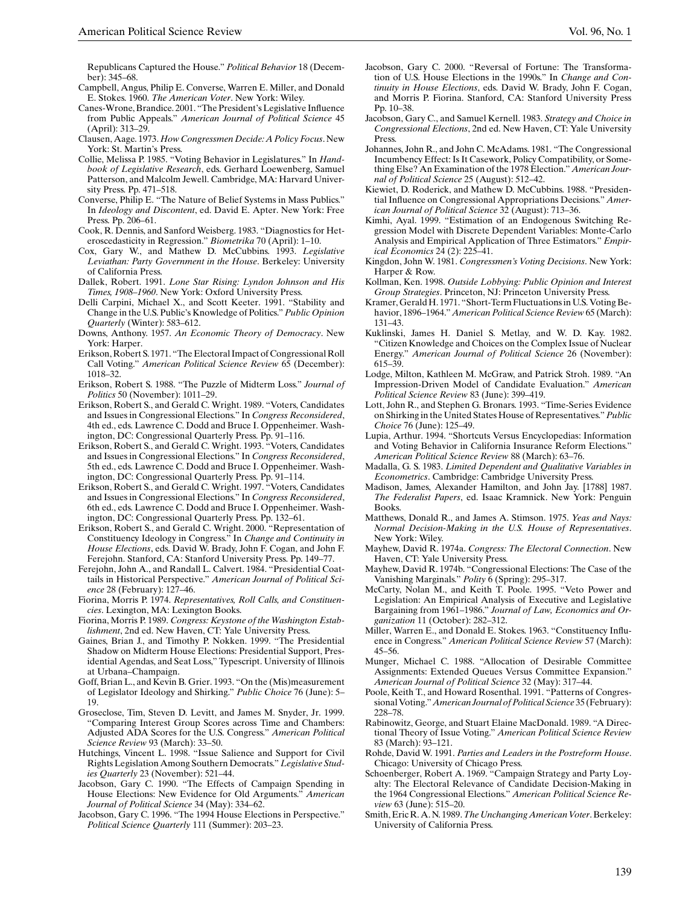Republicans Captured the House." *Political Behavior* 18 (December): 345–68.

- Campbell, Angus, Philip E. Converse, Warren E. Miller, and Donald E. Stokes. 1960. *The American Voter*. New York: Wiley.
- Canes-Wrone, Brandice. 2001. "The President's Legislative Influence from Public Appeals." *American Journal of Political Science* 45 (April): 313–29.
- Clausen, Aage. 1973. *How Congressmen Decide: A Policy Focus*. New York: St. Martin's Press.
- Collie, Melissa P. 1985. "Voting Behavior in Legislatures." In *Handbook of Legislative Research*, eds. Gerhard Loewenberg, Samuel Patterson, and Malcolm Jewell. Cambridge, MA: Harvard University Press. Pp. 471–518.
- Converse, Philip E. "The Nature of Belief Systems in Mass Publics." In *Ideology and Discontent*, ed. David E. Apter. New York: Free Press. Pp. 206–61.
- Cook, R. Dennis, and Sanford Weisberg. 1983. "Diagnostics for Heteroscedasticity in Regression." *Biometrika* 70 (April): 1–10.
- Cox, Gary W., and Mathew D. McCubbins. 1993. *Legislative Leviathan: Party Government in the House*. Berkeley: University of California Press.
- Dallek, Robert. 1991. *Lone Star Rising: Lyndon Johnson and His Times, 1908–1960*. New York: Oxford University Press.
- Delli Carpini, Michael X., and Scott Keeter. 1991. "Stability and Change in the U.S. Public's Knowledge of Politics." *Public Opinion Quarterly* (Winter): 583–612.
- Downs, Anthony. 1957. *An Economic Theory of Democracy*. New York: Harper.
- Erikson, Robert S. 1971. "The Electoral Impact of Congressional Roll Call Voting." *American Political Science Review* 65 (December): 1018–32.
- Erikson, Robert S. 1988. "The Puzzle of Midterm Loss." *Journal of Politics* 50 (November): 1011–29.
- Erikson, Robert S., and Gerald C. Wright. 1989. "Voters, Candidates and Issues in Congressional Elections." In *Congress Reconsidered*, 4th ed., eds. Lawrence C. Dodd and Bruce I. Oppenheimer. Washington, DC: Congressional Quarterly Press. Pp. 91–116.
- Erikson, Robert S., and Gerald C. Wright. 1993. "Voters, Candidates and Issues in Congressional Elections." In *Congress Reconsidered*, 5th ed., eds. Lawrence C. Dodd and Bruce I. Oppenheimer. Washington, DC: Congressional Quarterly Press. Pp. 91–114.
- Erikson, Robert S., and Gerald C. Wright. 1997. "Voters, Candidates and Issues in Congressional Elections." In *Congress Reconsidered*, 6th ed., eds. Lawrence C. Dodd and Bruce I. Oppenheimer. Washington, DC: Congressional Quarterly Press. Pp. 132–61.
- Erikson, Robert S., and Gerald C. Wright. 2000. "Representation of Constituency Ideology in Congress." In *Change and Continuity in House Elections*, eds. David W. Brady, John F. Cogan, and John F. Ferejohn. Stanford, CA: Stanford University Press. Pp. 149–77.
- Ferejohn, John A., and Randall L. Calvert. 1984. "Presidential Coattails in Historical Perspective." *American Journal of Political Science* 28 (February): 127–46.
- Fiorina, Morris P. 1974. *Representatives, Roll Calls, and Constituencies*. Lexington, MA: Lexington Books.
- Fiorina, Morris P. 1989. *Congress: Keystone of the Washington Establishment*, 2nd ed. New Haven, CT: Yale University Press.
- Gaines, Brian J., and Timothy P. Nokken. 1999. "The Presidential Shadow on Midterm House Elections: Presidential Support, Presidential Agendas, and Seat Loss," Typescript. University of Illinois at Urbana–Champaign.
- Goff, Brian L., and Kevin B. Grier. 1993. "On the (Mis)measurement of Legislator Ideology and Shirking." *Public Choice* 76 (June): 5– 19.
- Groseclose, Tim, Steven D. Levitt, and James M. Snyder, Jr. 1999. "Comparing Interest Group Scores across Time and Chambers: Adjusted ADA Scores for the U.S. Congress." *American Political Science Review* 93 (March): 33–50.
- Hutchings, Vincent L. 1998. "Issue Salience and Support for Civil Rights Legislation Among Southern Democrats." *Legislative Studies Quarterly* 23 (November): 521–44.
- Jacobson, Gary C. 1990. "The Effects of Campaign Spending in House Elections: New Evidence for Old Arguments." *American Journal of Political Science* 34 (May): 334–62.
- Jacobson, Gary C. 1996. "The 1994 House Elections in Perspective." *Political Science Quarterly* 111 (Summer): 203–23.
- Jacobson, Gary C. 2000. "Reversal of Fortune: The Transformation of U.S. House Elections in the 1990s." In *Change and Continuity in House Elections*, eds. David W. Brady, John F. Cogan, and Morris P. Fiorina. Stanford, CA: Stanford University Press Pp. 10–38.
- Jacobson, Gary C., and Samuel Kernell. 1983. *Strategy and Choice in Congressional Elections*, 2nd ed. New Haven, CT: Yale University Press.
- Johannes, John R., and John C. McAdams. 1981. "The Congressional Incumbency Effect: Is It Casework, Policy Compatibility, or Something Else? An Examination of the 1978 Election." *American Journal of Political Science* 25 (August): 512–42.
- Kiewiet, D. Roderick, and Mathew D. McCubbins. 1988. "Presidential Influence on Congressional Appropriations Decisions." *American Journal of Political Science* 32 (August): 713–36.
- Kimhi, Ayal. 1999. "Estimation of an Endogenous Switching Regression Model with Discrete Dependent Variables: Monte-Carlo Analysis and Empirical Application of Three Estimators." *Empirical Economics* 24 (2): 225–41.
- Kingdon, John W. 1981. *Congressmen's Voting Decisions*. New York: Harper & Row.
- Kollman, Ken. 1998. *Outside Lobbying: Public Opinion and Interest Group Strategies*. Princeton, NJ: Princeton University Press.
- Kramer, Gerald H. 1971. "Short-Term Fluctuations in U.S. Voting Behavior, 1896–1964." *American Political Science Review* 65 (March): 131–43.
- Kuklinski, James H. Daniel S. Metlay, and W. D. Kay. 1982. "Citizen Knowledge and Choices on the Complex Issue of Nuclear Energy." *American Journal of Political Science* 26 (November): 615–39.
- Lodge, Milton, Kathleen M. McGraw, and Patrick Stroh. 1989. "An Impression-Driven Model of Candidate Evaluation." *American Political Science Review* 83 (June): 399–419.
- Lott, John R., and Stephen G. Bronars. 1993. "Time-Series Evidence on Shirking in the United States House of Representatives."*Public Choice* 76 (June): 125–49.
- Lupia, Arthur. 1994. "Shortcuts Versus Encyclopedias: Information and Voting Behavior in California Insurance Reform Elections." *American Political Science Review* 88 (March): 63–76.
- Madalla, G. S. 1983. *Limited Dependent and Qualitative Variables in Econometrics*. Cambridge: Cambridge University Press.
- Madison, James, Alexander Hamilton, and John Jay. [1788] 1987. *The Federalist Papers*, ed. Isaac Kramnick. New York: Penguin Books.
- Matthews, Donald R., and James A. Stimson. 1975. *Yeas and Nays: Normal Decision-Making in the U.S. House of Representatives*. New York: Wiley.
- Mayhew, David R. 1974a. *Congress: The Electoral Connection*. New Haven, CT: Yale University Press.
- Mayhew, David R. 1974b. "Congressional Elections: The Case of the Vanishing Marginals." *Polity* 6 (Spring): 295–317.
- McCarty, Nolan M., and Keith T. Poole. 1995. "Veto Power and Legislation: An Empirical Analysis of Executive and Legislative Bargaining from 1961–1986." *Journal of Law, Economics and Organization* 11 (October): 282–312.
- Miller, Warren E., and Donald E. Stokes. 1963. "Constituency Influence in Congress." *American Political Science Review* 57 (March): 45–56.
- Munger, Michael C. 1988. "Allocation of Desirable Committee Assignments: Extended Queues Versus Committee Expansion." *American Journal of Political Science* 32 (May): 317–44.
- Poole, Keith T., and Howard Rosenthal. 1991. "Patterns of Congressional Voting."*American Journal of Political Science* 35 (February): 228–78.
- Rabinowitz, George, and Stuart Elaine MacDonald. 1989. "A Directional Theory of Issue Voting." *American Political Science Review* 83 (March): 93–121.
- Rohde, David W. 1991. *Parties and Leaders in the Postreform House*. Chicago: University of Chicago Press.
- Schoenberger, Robert A. 1969. "Campaign Strategy and Party Loyalty: The Electoral Relevance of Candidate Decision-Making in the 1964 Congressional Elections." *American Political Science Review* 63 (June): 515–20.
- Smith, Eric R. A. N. 1989.*The Unchanging American Voter*. Berkeley: University of California Press.